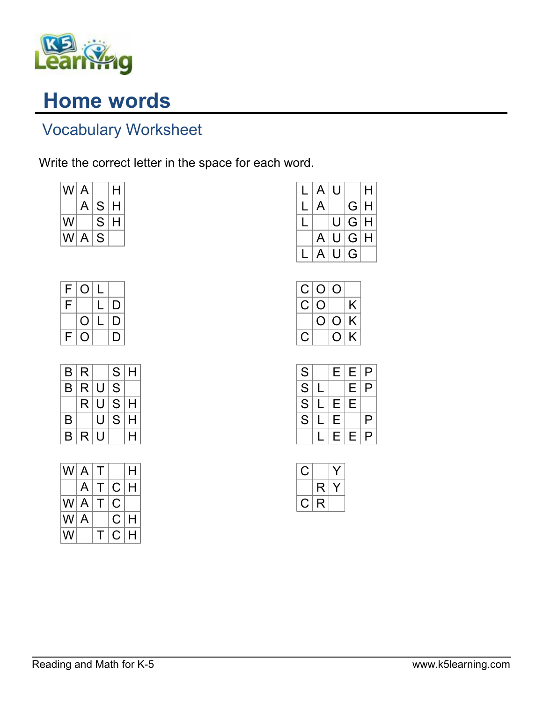

## Home words

## Vocabulary Worksheet

Write the correct letter in the space for each word.

| WI A |   |   | н |
|------|---|---|---|
|      | A | S | н |
| W    |   | S | н |
| WI A |   | S |   |

| F | Ö | $\mathsf{L}$ |   |
|---|---|--------------|---|
| F |   | $\mathsf{L}$ | D |
|   | O | $\mathsf{L}$ | D |
| F | Û |              | D |

| B | R |   | S | Н |
|---|---|---|---|---|
| Β | R | U | S |   |
|   | R | U | S | Н |
| B |   | U | S | H |
| B | R | U |   | н |

| WI A |   | Т |   | Н |
|------|---|---|---|---|
|      | A | Τ | C | Н |
| W A  |   | Τ | С |   |
| W    | A |   | С | H |
| W    |   | т | C | н |

| L | $\mathsf{A}$ | U |   | н |
|---|--------------|---|---|---|
|   | $\mathsf{A}$ |   | G | H |
|   |              | U | G | Н |
|   | A            | U | G | Н |
|   | A            | U | G |   |

| C   | O |           |   |
|-----|---|-----------|---|
| U   | ◡ |           | K |
|     | U | Ő         | K |
| - 1 |   | <u>(၂</u> | K |

| S                                  | Е | Е | $\overline{P}$ |
|------------------------------------|---|---|----------------|
| $\overline{\overline{\mathsf{s}}}$ |   | E | $\mathsf{P}$   |
| $\overline{\overline{\mathsf{s}}}$ | E | E |                |
| $\overline{\mathsf{s}}$            | E |   | $\mathsf P$    |
|                                    | E | E | $\overline{P}$ |